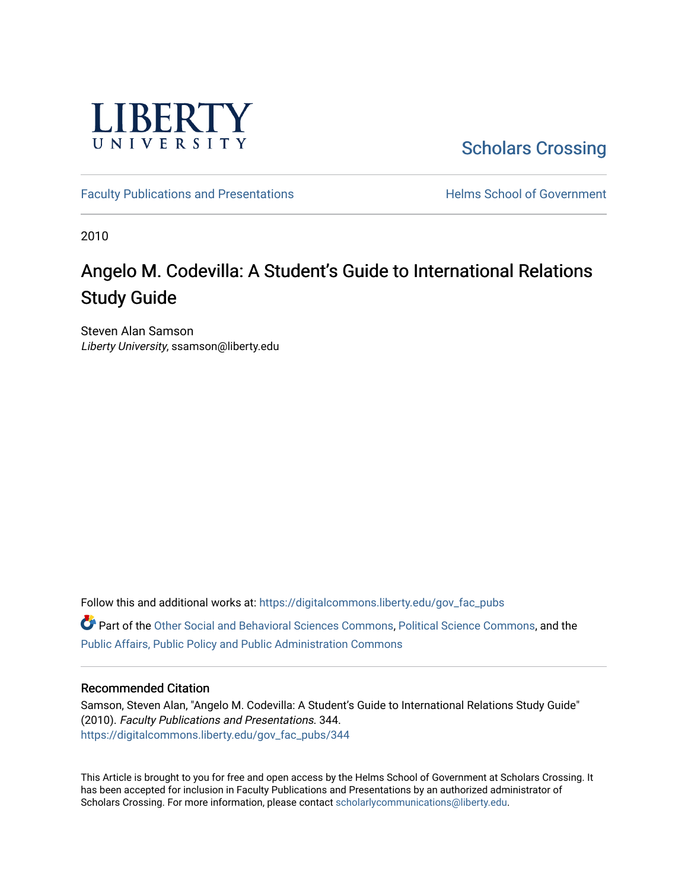

[Scholars Crossing](https://digitalcommons.liberty.edu/) 

[Faculty Publications and Presentations](https://digitalcommons.liberty.edu/gov_fac_pubs) **Exercise School of Government** 

2010

# Angelo M. Codevilla: A Student's Guide to International Relations Study Guide

Steven Alan Samson Liberty University, ssamson@liberty.edu

Follow this and additional works at: [https://digitalcommons.liberty.edu/gov\\_fac\\_pubs](https://digitalcommons.liberty.edu/gov_fac_pubs?utm_source=digitalcommons.liberty.edu%2Fgov_fac_pubs%2F344&utm_medium=PDF&utm_campaign=PDFCoverPages) Part of the [Other Social and Behavioral Sciences Commons](http://network.bepress.com/hgg/discipline/437?utm_source=digitalcommons.liberty.edu%2Fgov_fac_pubs%2F344&utm_medium=PDF&utm_campaign=PDFCoverPages), [Political Science Commons](http://network.bepress.com/hgg/discipline/386?utm_source=digitalcommons.liberty.edu%2Fgov_fac_pubs%2F344&utm_medium=PDF&utm_campaign=PDFCoverPages), and the [Public Affairs, Public Policy and Public Administration Commons](http://network.bepress.com/hgg/discipline/393?utm_source=digitalcommons.liberty.edu%2Fgov_fac_pubs%2F344&utm_medium=PDF&utm_campaign=PDFCoverPages)

#### Recommended Citation

Samson, Steven Alan, "Angelo M. Codevilla: A Student's Guide to International Relations Study Guide" (2010). Faculty Publications and Presentations. 344. [https://digitalcommons.liberty.edu/gov\\_fac\\_pubs/344](https://digitalcommons.liberty.edu/gov_fac_pubs/344?utm_source=digitalcommons.liberty.edu%2Fgov_fac_pubs%2F344&utm_medium=PDF&utm_campaign=PDFCoverPages)

This Article is brought to you for free and open access by the Helms School of Government at Scholars Crossing. It has been accepted for inclusion in Faculty Publications and Presentations by an authorized administrator of Scholars Crossing. For more information, please contact [scholarlycommunications@liberty.edu.](mailto:scholarlycommunications@liberty.edu)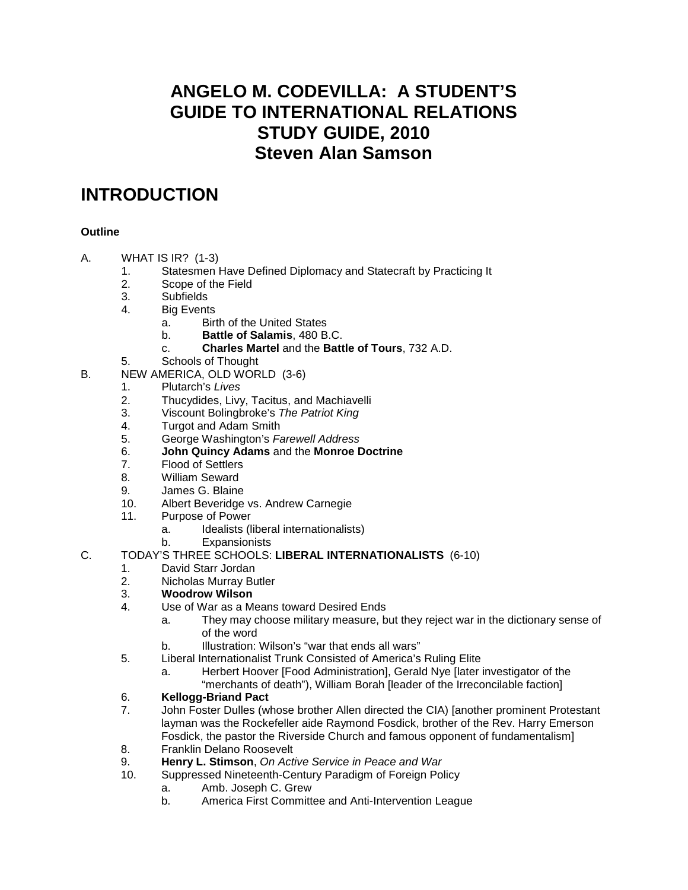### **ANGELO M. CODEVILLA: A STUDENT'S GUIDE TO INTERNATIONAL RELATIONS STUDY GUIDE, 2010 Steven Alan Samson**

### **INTRODUCTION**

### **Outline**

- A. WHAT IS IR? (1-3)
	- 1. Statesmen Have Defined Diplomacy and Statecraft by Practicing It
	- Scope of the Field
	- 3. Subfields
	- 4. Big Events
		- a. Birth of the United States
		- b. **Battle of Salamis**, 480 B.C.
		- c. **Charles Martel** and the **Battle of Tours**, 732 A.D.
	- 5. Schools of Thought
- B. NEW AMERICA, OLD WORLD (3-6)
	- 1. Plutarch's *Lives*
	- 2. Thucydides, Livy, Tacitus, and Machiavelli
	- 3. Viscount Bolingbroke's *The Patriot King*
	- 4. Turgot and Adam Smith
	- 5. George Washington's *Farewell Address*
	- 6. **John Quincy Adams** and the **Monroe Doctrine**
	- 7. Flood of Settlers
	- 8. William Seward
	- 9. James G. Blaine<br>10. Albert Beveridge
	- Albert Beveridge vs. Andrew Carnegie
	- 11. Purpose of Power
		- a. Idealists (liberal internationalists)
		- b. Expansionists
- C. TODAY'S THREE SCHOOLS: **LIBERAL INTERNATIONALISTS** (6-10)
	- 1. David Starr Jordan<br>2. Nicholas Murray Bu
	- 2. Nicholas Murray Butler<br>3. **Woodrow Wilson**
	- 3. **Woodrow Wilson**
	- 4. Use of War as a Means toward Desired Ends
		- a. They may choose military measure, but they reject war in the dictionary sense of of the word
		- b. Illustration: Wilson's "war that ends all wars"
	- 5. Liberal Internationalist Trunk Consisted of America's Ruling Elite
		- a. Herbert Hoover [Food Administration], Gerald Nye [later investigator of the
		- "merchants of death"), William Borah [leader of the Irreconcilable faction]

# 6. **Kellogg-Briand Pact**

- John Foster Dulles (whose brother Allen directed the CIA) [another prominent Protestant layman was the Rockefeller aide Raymond Fosdick, brother of the Rev. Harry Emerson Fosdick, the pastor the Riverside Church and famous opponent of fundamentalism]
- 8. Franklin Delano Roosevelt
- 9. **Henry L. Stimson**, *On Active Service in Peace and War*
	- Suppressed Nineteenth-Century Paradigm of Foreign Policy
		- a. Amb. Joseph C. Grew
		- b. America First Committee and Anti-Intervention League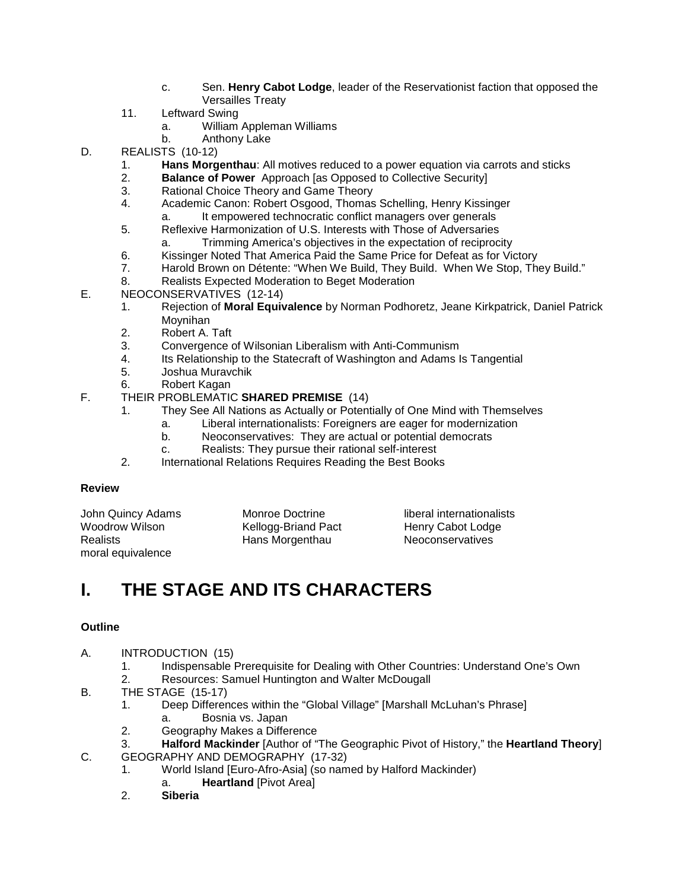- c. Sen. **Henry Cabot Lodge**, leader of the Reservationist faction that opposed the Versailles Treaty
- 11. Leftward Swing
	- a. William Appleman Williams
	- b. Anthony Lake
- D. REALISTS (10-12)
	- 1. **Hans Morgenthau**: All motives reduced to a power equation via carrots and sticks
	- 2. **Balance of Power** Approach [as Opposed to Collective Security]
	- 3. Rational Choice Theory and Game Theory<br>4. Academic Canon: Robert Osgood. Thomas
	- 4. Academic Canon: Robert Osgood, Thomas Schelling, Henry Kissinger
	- a. It empowered technocratic conflict managers over generals
	- 5. Reflexive Harmonization of U.S. Interests with Those of Adversaries a. Trimming America's objectives in the expectation of reciprocity
	- 6. Kissinger Noted That America Paid the Same Price for Defeat as for Victory
	- 7. Harold Brown on Détente: "When We Build, They Build. When We Stop, They Build."
	- 8. Realists Expected Moderation to Beget Moderation
- E. NEOCONSERVATIVES (12-14)
	- 1. Rejection of **Moral Equivalence** by Norman Podhoretz, Jeane Kirkpatrick, Daniel Patrick **Movnihan**
	- 2. Robert A. Taft<br>3. Convergence of
	- 3. Convergence of Wilsonian Liberalism with Anti-Communism
	- Its Relationship to the Statecraft of Washington and Adams Is Tangential
	- 5. Joshua Muravchik
	- 6. Robert Kagan

### F. THEIR PROBLEMATIC **SHARED PREMISE** (14)

- 1. They See All Nations as Actually or Potentially of One Mind with Themselves
	- a. Liberal internationalists: Foreigners are eager for modernization
		- b. Neoconservatives: They are actual or potential democrats
		- c. Realists: They pursue their rational self-interest
- 2. International Relations Requires Reading the Best Books

### **Review**

| John Quincy Adams | Monroe Doctrine     | liberal internationalists |
|-------------------|---------------------|---------------------------|
| Woodrow Wilson    | Kellogg-Briand Pact | Henry Cabot Lodge         |
| <b>Realists</b>   | Hans Morgenthau     | <b>Neoconservatives</b>   |
| moral equivalence |                     |                           |

## **I. THE STAGE AND ITS CHARACTERS**

### **Outline**

- A. INTRODUCTION (15)
	- 1. Indispensable Prerequisite for Dealing with Other Countries: Understand One's Own
	- 2. Resources: Samuel Huntington and Walter McDougall
- B. THE STAGE (15-17)<br>1. Deep Differen
	- Deep Differences within the "Global Village" [Marshall McLuhan's Phrase]
	- a. Bosnia vs. Japan
	- 2. Geography Makes a Difference
	- 3. **Halford Mackinder** [Author of "The Geographic Pivot of History," the **Heartland Theory**]
- C. GEOGRAPHY AND DEMOGRAPHY (17-32)
	- 1. World Island [Euro-Afro-Asia] (so named by Halford Mackinder)
		- a. **Heartland** [Pivot Area]
	- 2. **Siberia**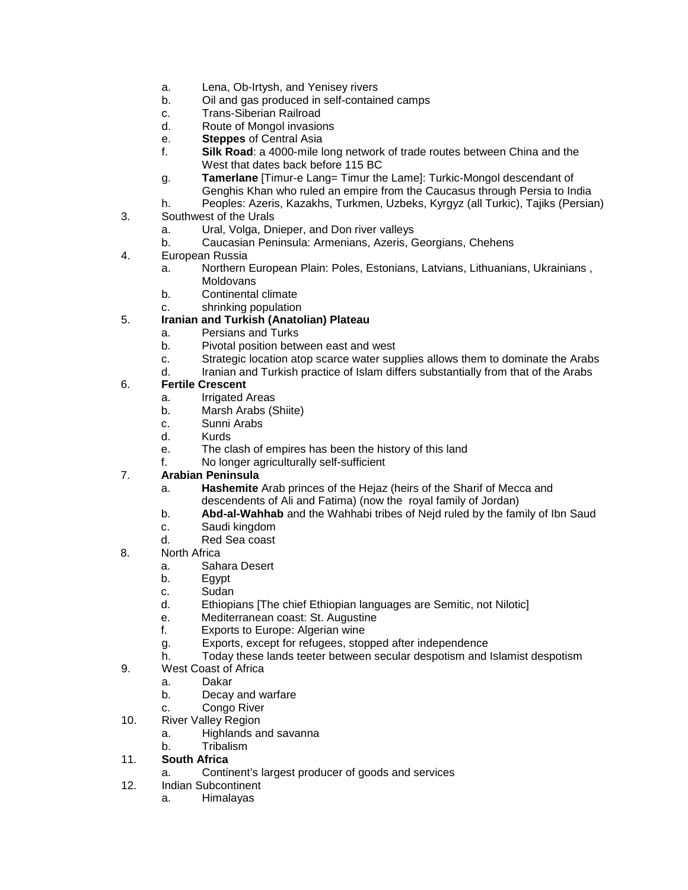- a. Lena, Ob-Irtysh, and Yenisey rivers
- b. Oil and gas produced in self-contained camps
- c. Trans-Siberian Railroad<br>d. Route of Mongol invasio
- Route of Mongol invasions
- e. **Steppes** of Central Asia
- f. **Silk Road**: a 4000-mile long network of trade routes between China and the West that dates back before 115 BC
- g. **Tamerlane** [Timur-e Lang= Timur the Lame]: Turkic-Mongol descendant of Genghis Khan who ruled an empire from the Caucasus through Persia to India
- h. Peoples: Azeris, Kazakhs, Turkmen, Uzbeks, Kyrgyz (all Turkic), Tajiks (Persian)
- 3. Southwest of the Urals
	- a. Ural, Volga, Dnieper, and Don river valleys
	- b. Caucasian Peninsula: Armenians, Azeris, Georgians, Chehens
- 4. European Russia
	- a. Northern European Plain: Poles, Estonians, Latvians, Lithuanians, Ukrainians , **Moldovans**
	- b. Continental climate
	- c. shrinking population

### 5. **Iranian and Turkish (Anatolian) Plateau**

- a. Persians and Turks<br>b. Pivotal position bety
- Pivotal position between east and west
- c. Strategic location atop scarce water supplies allows them to dominate the Arabs
- d. Iranian and Turkish practice of Islam differs substantially from that of the Arabs

#### 6. **Fertile Crescent**

- a. Irrigated Areas
- b. Marsh Arabs (Shiite)
- c. Sunni Arabs
- d. Kurds
- e. The clash of empires has been the history of this land
- f. No longer agriculturally self-sufficient

#### 7. **Arabian Peninsula**

- a. **Hashemite** Arab princes of the Hejaz (heirs of the Sharif of Mecca and descendents of Ali and Fatima) (now the royal family of Jordan)
- b. **Abd-al-Wahhab** and the Wahhabi tribes of Nejd ruled by the family of Ibn Saud
- c. Saudi kingdom
- d. Red Sea coast
- 8. North Africa
	- a. Sahara Desert
	- b. Egypt
	- c. Sudan
	- d. Ethiopians [The chief Ethiopian languages are Semitic, not Nilotic]
	- e. Mediterranean coast: St. Augustine
	- f. Exports to Europe: Algerian wine
	- g. Exports, except for refugees, stopped after independence
	- h. Today these lands teeter between secular despotism and Islamist despotism
- 9. West Coast of Africa
	- a. Dakar
	- b. Decay and warfare
	- c. Congo River
- 10. River Valley Region
	- a. Highlands and savanna
	- b. Tribalism

#### 11. **South Africa**

- a. Continent's largest producer of goods and services
- 12. Indian Subcontinent
	- a. Himalayas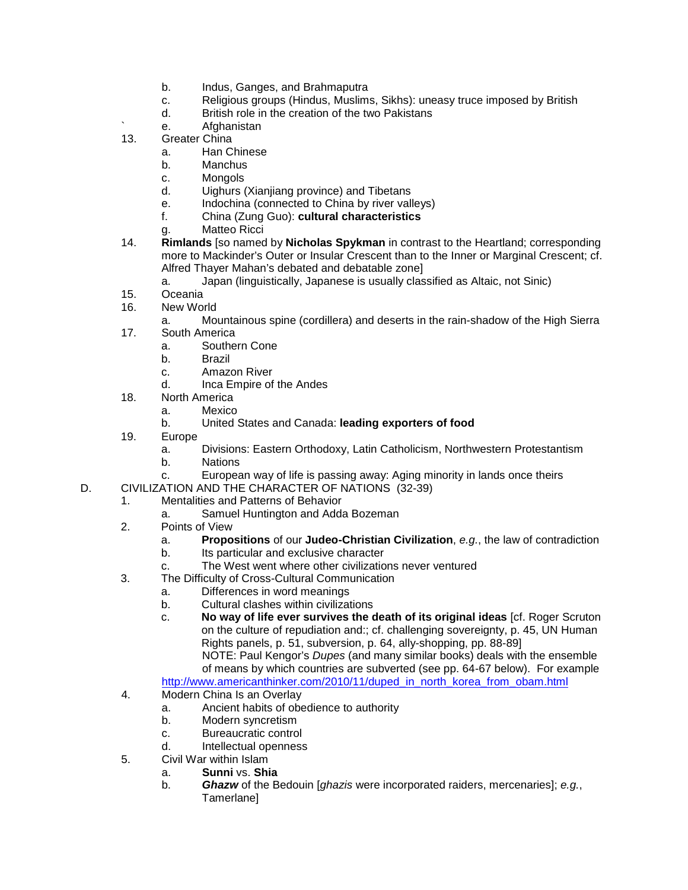- b. Indus, Ganges, and Brahmaputra
- c. Religious groups (Hindus, Muslims, Sikhs): uneasy truce imposed by British
- d. British role in the creation of the two Pakistans
- e. Afghanistan
- 13. Greater China
	- a. Han Chinese
	- b. Manchus
	- c. Mongols
	- d. Uighurs (Xianjiang province) and Tibetans
	- e. Indochina (connected to China by river valleys)
	- f. China (Zung Guo): **cultural characteristics**
	- g. Matteo Ricci
- 14. **Rimlands** [so named by **Nicholas Spykman** in contrast to the Heartland; corresponding more to Mackinder's Outer or Insular Crescent than to the Inner or Marginal Crescent; cf. Alfred Thayer Mahan's debated and debatable zone]
	- a. Japan (linguistically, Japanese is usually classified as Altaic, not Sinic)
- 15. Oceania
- 16. New World
- a. Mountainous spine (cordillera) and deserts in the rain-shadow of the High Sierra 17. South America
	- a. Southern Cone
	- b. Brazil
	- c. Amazon River
	- d. Inca Empire of the Andes
- 18. North America
	- a. Mexico
	- b. United States and Canada: **leading exporters of food**
- 19. Europe
	- a. Divisions: Eastern Orthodoxy, Latin Catholicism, Northwestern Protestantism
	- b. Nations
	- c. European way of life is passing away: Aging minority in lands once theirs
- D. CIVILIZATION AND THE CHARACTER OF NATIONS (32-39)
	- 1. Mentalities and Patterns of Behavior
		- a. Samuel Huntington and Adda Bozeman
	- 2. Points of View
		- a. **Propositions** of our **Judeo-Christian Civilization**, *e.g.*, the law of contradiction
		- b. Its particular and exclusive character
		- c. The West went where other civilizations never ventured
	- 3. The Difficulty of Cross-Cultural Communication
		- a. Differences in word meanings
		- b. Cultural clashes within civilizations
		- c. **No way of life ever survives the death of its original ideas** [cf. Roger Scruton on the culture of repudiation and:; cf. challenging sovereignty, p. 45, UN Human Rights panels, p. 51, subversion, p. 64, ally-shopping, pp. 88-89] NOTE: Paul Kengor's *Dupes* (and many similar books) deals with the ensemble

of means by which countries are subverted (see pp. 64-67 below). For example [http://www.americanthinker.com/2010/11/duped\\_in\\_north\\_korea\\_from\\_obam.html](http://www.americanthinker.com/2010/11/duped_in_north_korea_from_obam.html)

- 4. Modern China Is an Overlay
	- a. Ancient habits of obedience to authority
	- b. Modern syncretism
	- c. Bureaucratic control
	- d. Intellectual openness
- 5. Civil War within Islam
	- a. **Sunni** vs. **Shia**
		- b. *Ghazw* of the Bedouin [*ghazis* were incorporated raiders, mercenaries]; *e.g.*, Tamerlane]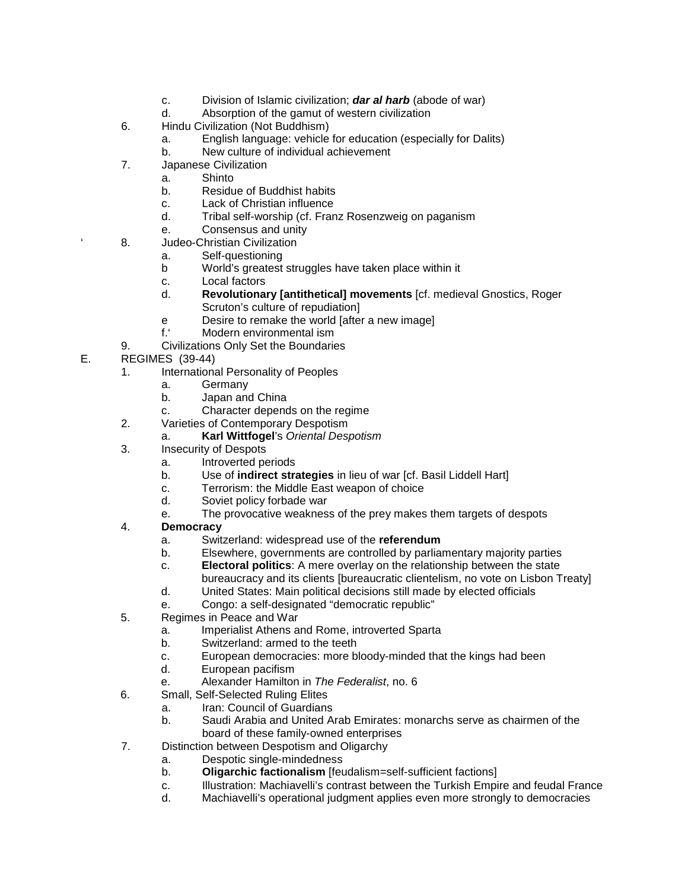- c. Division of Islamic civilization; *dar al harb* (abode of war)
- Absorption of the gamut of western civilization
- 6. Hindu Civilization (Not Buddhism)
	- a. English language: vehicle for education (especially for Dalits)
	- b. New culture of individual achievement
- 7. Japanese Civilization
	- a. Shinto
		- b. Residue of Buddhist habits
		- c. Lack of Christian influence
		- d. Tribal self-worship (cf. Franz Rosenzweig on paganism
		- e. Consensus and unity
- 8. Judeo-Christian Civilization
	- a. Self-questioning
	- b World's greatest struggles have taken place within it
	- c. Local factors
	- d. **Revolutionary [antithetical] movements** [cf. medieval Gnostics, Roger Scruton's culture of repudiation]
	- e Desire to remake the world [after a new image]
	- f.' Modern environmental ism
- 9. Civilizations Only Set the Boundaries
- E. REGIMES (39-44)
	- 1. International Personality of Peoples
		- a. Germany
		- b. Japan and China
		- c. Character depends on the regime
	- 2. Varieties of Contemporary Despotism
		- a. **Karl Wittfogel**'s *Oriental Despotism*
	- 3. Insecurity of Despots
		- a. Introverted periods
		- b. Use of **indirect strategies** in lieu of war [cf. Basil Liddell Hart]
		- c. Terrorism: the Middle East weapon of choice
		- d. Soviet policy forbade war
		- e. The provocative weakness of the prey makes them targets of despots
	- 4. **Democracy**
		- a. Switzerland: widespread use of the **referendum**
		- b. Elsewhere, governments are controlled by parliamentary majority parties
		- c. **Electoral politics**: A mere overlay on the relationship between the state
		- bureaucracy and its clients [bureaucratic clientelism, no vote on Lisbon Treaty] d. United States: Main political decisions still made by elected officials
		- e. Congo: a self-designated "democratic republic"
	- 5. Regimes in Peace and War
		- a. Imperialist Athens and Rome, introverted Sparta
		- b. Switzerland: armed to the teeth
		- c. European democracies: more bloody-minded that the kings had been<br>d. European pacifism
		- European pacifism
		- e. Alexander Hamilton in *The Federalist*, no. 6
	- 6. Small, Self-Selected Ruling Elites
		- a. Iran: Council of Guardians
		- b. Saudi Arabia and United Arab Emirates: monarchs serve as chairmen of the board of these family-owned enterprises
	- 7. Distinction between Despotism and Oligarchy
		- a. Despotic single-mindedness
		- b. **Oligarchic factionalism** [feudalism=self-sufficient factions]
		- c. Illustration: Machiavelli's contrast between the Turkish Empire and feudal France
		- d. Machiavelli's operational judgment applies even more strongly to democracies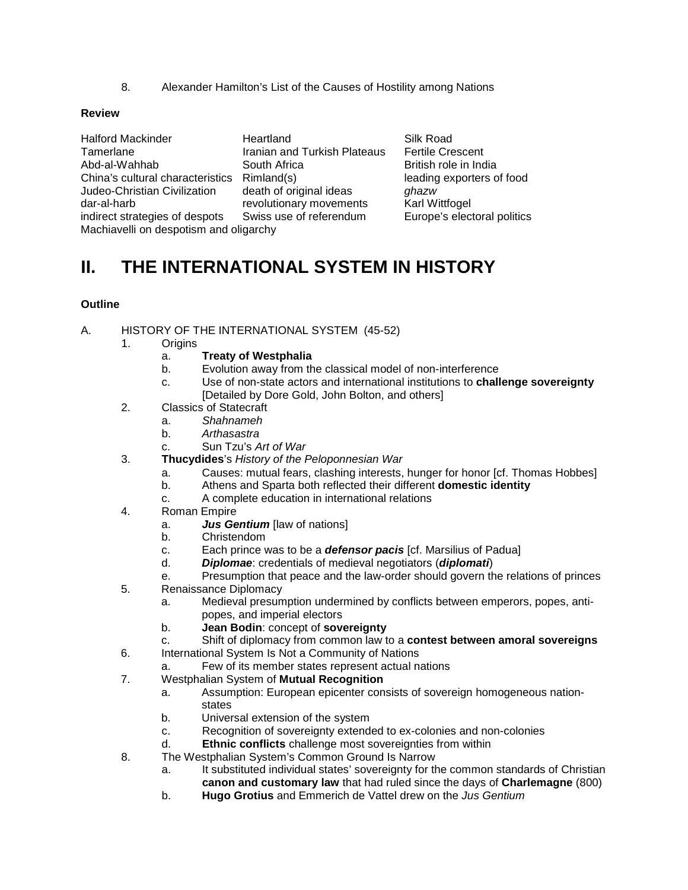8. Alexander Hamilton's List of the Causes of Hostility among Nations

#### **Review**

Halford Mackinder **Heartland** Silk Road Tamerlane Iranian and Turkish Plateaus Fertile Crescent<br>Abd-al-Wahhab South Africa British role in Inc China's cultural characteristics Rimland(s) leading exporters of food Judeo-Christian Civilization death of original ideas *ghazw* indirect strategies of despots Swiss use of referendum Europe's electoral politics Machiavelli on despotism and oligarchy

revolutionary movements

British role in India

### **II. THE INTERNATIONAL SYSTEM IN HISTORY**

#### **Outline**

- A. HISTORY OF THE INTERNATIONAL SYSTEM (45-52)
	- 1. Origins
		- a. **Treaty of Westphalia**
		- b. Evolution away from the classical model of non-interference
		- c. Use of non-state actors and international institutions to **challenge sovereignty** [Detailed by Dore Gold, John Bolton, and others]
	- 2. Classics of Statecraft
		- a. *Shahnameh*
		- b. *Arthasastra*
		- c. Sun Tzu's *Art of War*
	- 3. **Thucydides**'s *History of the Peloponnesian War*
		- a. Causes: mutual fears, clashing interests, hunger for honor [cf. Thomas Hobbes]
		- b. Athens and Sparta both reflected their different **domestic identity**
		- c. A complete education in international relations
	- 4. Roman Empire
		- a. *Jus Gentium* [law of nations]
		- b. Christendom
		- c. Each prince was to be a *defensor pacis* [cf. Marsilius of Padua]
		- d. *Diplomae*: credentials of medieval negotiators (*diplomati*)
		- e. Presumption that peace and the law-order should govern the relations of princes
	- 5. Renaissance Diplomacy
		- a. Medieval presumption undermined by conflicts between emperors, popes, antipopes, and imperial electors
		- b. **Jean Bodin**: concept of **sovereignty**
		- c. Shift of diplomacy from common law to a **contest between amoral sovereigns**
	- 6. International System Is Not a Community of Nations
		- a. Few of its member states represent actual nations
	- 7. Westphalian System of **Mutual Recognition**
		- a. Assumption: European epicenter consists of sovereign homogeneous nationstates
		- b. Universal extension of the system
		- c. Recognition of sovereignty extended to ex-colonies and non-colonies
		- d. **Ethnic conflicts** challenge most sovereignties from within
	- 8. The Westphalian System's Common Ground Is Narrow
		- a. It substituted individual states' sovereignty for the common standards of Christian **canon and customary law** that had ruled since the days of **Charlemagne** (800)
		- b. **Hugo Grotius** and Emmerich de Vattel drew on the *Jus Gentium*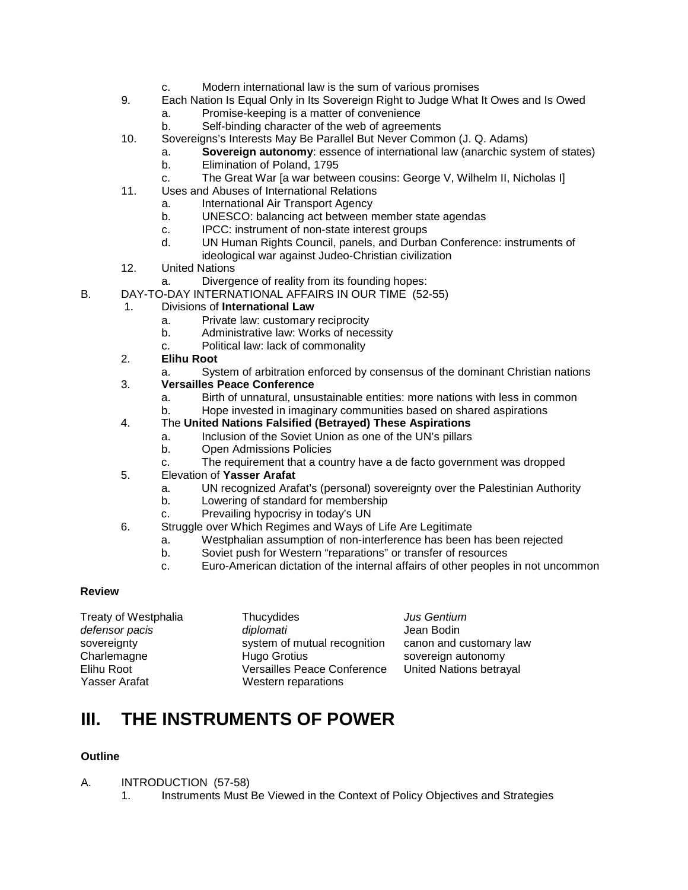- c. Modern international law is the sum of various promises
- 9. Each Nation Is Equal Only in Its Sovereign Right to Judge What It Owes and Is Owed
	- a. Promise-keeping is a matter of convenience
	- b. Self-binding character of the web of agreements
- 10. Sovereigns's Interests May Be Parallel But Never Common (J. Q. Adams)
	- a. **Sovereign autonomy**: essence of international law (anarchic system of states)
	- b. Elimination of Poland, 1795
	- c. The Great War [a war between cousins: George V, Wilhelm II, Nicholas I]
- 11. Uses and Abuses of International Relations
	- a. International Air Transport Agency
	- b. UNESCO: balancing act between member state agendas
	- c. IPCC: instrument of non-state interest groups<br>d UN Human Rights Council panels and Durba
	- d. UN Human Rights Council, panels, and Durban Conference: instruments of ideological war against Judeo-Christian civilization
- 12. United Nations
	- a. Divergence of reality from its founding hopes:
- B. DAY-TO-DAY INTERNATIONAL AFFAIRS IN OUR TIME (52-55)

#### 1. Divisions of **International Law**

- a. Private law: customary reciprocity
- b. Administrative law: Works of necessity
- c. Political law: lack of commonality
- 2. **Elihu Root**
	- a. System of arbitration enforced by consensus of the dominant Christian nations
- 3. **Versailles Peace Conference**
	- a. Birth of unnatural, unsustainable entities: more nations with less in common
	- b. Hope invested in imaginary communities based on shared aspirations
- 4. The **United Nations Falsified (Betrayed) These Aspirations**
	- a. Inclusion of the Soviet Union as one of the UN's pillars
	- b. Open Admissions Policies
	- c. The requirement that a country have a de facto government was dropped
- 5. Elevation of **Yasser Arafat**
	- a. UN recognized Arafat's (personal) sovereignty over the Palestinian Authority
	- b. Lowering of standard for membership
	- c. Prevailing hypocrisy in today's UN
- 6. Struggle over Which Regimes and Ways of Life Are Legitimate
	- a. Westphalian assumption of non-interference has been has been rejected
	- b. Soviet push for Western "reparations" or transfer of resources
	- c. Euro-American dictation of the internal affairs of other peoples in not uncommon

#### **Review**

| Treaty of Westphalia | Thucydides                         | <b>Jus Gentium</b>      |
|----------------------|------------------------------------|-------------------------|
| defensor pacis       | diplomati                          | Jean Bodin              |
| sovereignty          | system of mutual recognition       | canon and customary law |
| Charlemagne          | Hugo Grotius                       | sovereign autonomy      |
| Elihu Root           | <b>Versailles Peace Conference</b> | United Nations betrayal |
| Yasser Arafat        | Western reparations                |                         |
|                      |                                    |                         |

### **III. THE INSTRUMENTS OF POWER**

### **Outline**

- A. INTRODUCTION (57-58)
	- 1. Instruments Must Be Viewed in the Context of Policy Objectives and Strategies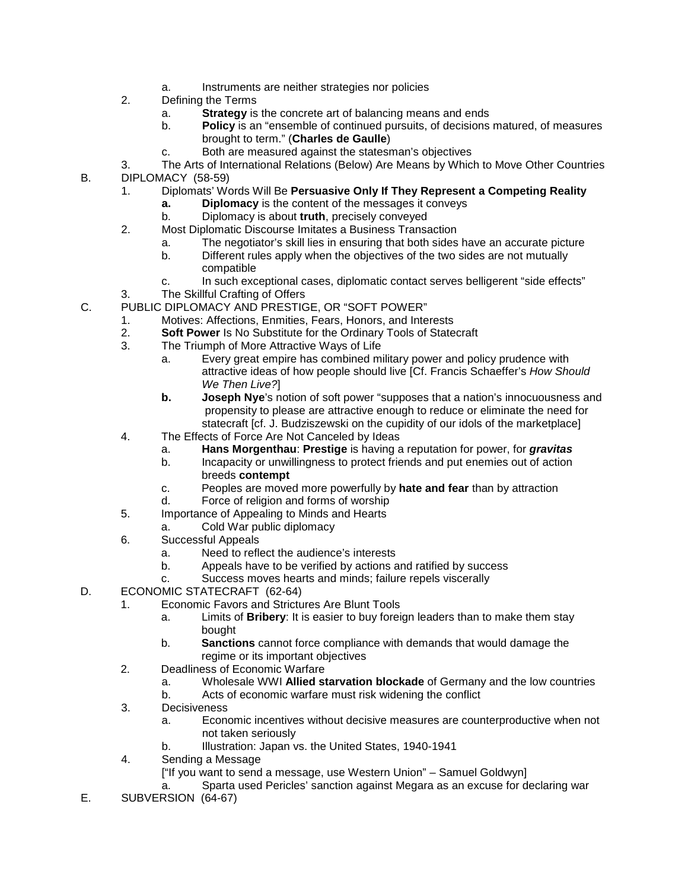- a. Instruments are neither strategies nor policies
- 2. Defining the Terms
	- a. **Strategy** is the concrete art of balancing means and ends
	- **Policy** is an "ensemble of continued pursuits, of decisions matured, of measures brought to term." (**Charles de Gaulle**)
	- c. Both are measured against the statesman's objectives
- 3. The Arts of International Relations (Below) Are Means by Which to Move Other Countries B. DIPLOMACY (58-59)
	- 1. Diplomats' Words Will Be **Persuasive Only If They Represent a Competing Reality**
		- **a. Diplomacy** is the content of the messages it conveys
		- b. Diplomacy is about **truth**, precisely conveyed
	- 2. Most Diplomatic Discourse Imitates a Business Transaction
		- a. The negotiator's skill lies in ensuring that both sides have an accurate picture
		- b. Different rules apply when the objectives of the two sides are not mutually compatible
		- c. In such exceptional cases, diplomatic contact serves belligerent "side effects"
	- 3. The Skillful Crafting of Offers
- C. PUBLIC DIPLOMACY AND PRESTIGE, OR "SOFT POWER"
	- 1. Motives: Affections, Enmities, Fears, Honors, and Interests
	- 2. **Soft Power** Is No Substitute for the Ordinary Tools of Statecraft
	- The Triumph of More Attractive Ways of Life
		- a. Every great empire has combined military power and policy prudence with attractive ideas of how people should live [Cf. Francis Schaeffer's *How Should We Then Live?*]
		- **b. Joseph Nye**'s notion of soft power "supposes that a nation's innocuousness and propensity to please are attractive enough to reduce or eliminate the need for statecraft [cf. J. Budziszewski on the cupidity of our idols of the marketplace]
	- 4. The Effects of Force Are Not Canceled by Ideas
		- a. **Hans Morgenthau**: **Prestige** is having a reputation for power, for *gravitas*
		- b. Incapacity or unwillingness to protect friends and put enemies out of action breeds **contempt**
		- c. Peoples are moved more powerfully by **hate and fear** than by attraction
		- d. Force of religion and forms of worship
	- 5. Importance of Appealing to Minds and Hearts
		- a. Cold War public diplomacy
	- 6. Successful Appeals
		- a. Need to reflect the audience's interests
		- b. Appeals have to be verified by actions and ratified by success
		- c. Success moves hearts and minds; failure repels viscerally
- D. ECONOMIC STATECRAFT (62-64)
	- 1. Economic Favors and Strictures Are Blunt Tools
		- a. Limits of **Bribery**: It is easier to buy foreign leaders than to make them stay bought
		- b. **Sanctions** cannot force compliance with demands that would damage the regime or its important objectives
	- 2. Deadliness of Economic Warfare
		- a. Wholesale WWI **Allied starvation blockade** of Germany and the low countries
			- b. Acts of economic warfare must risk widening the conflict
	- 3. Decisiveness
		- a. Economic incentives without decisive measures are counterproductive when not not taken seriously
		- b. Illustration: Japan vs. the United States, 1940-1941
	- 4. Sending a Message
		- ["If you want to send a message, use Western Union" Samuel Goldwyn]
		- a. Sparta used Pericles' sanction against Megara as an excuse for declaring war
- E. SUBVERSION (64-67)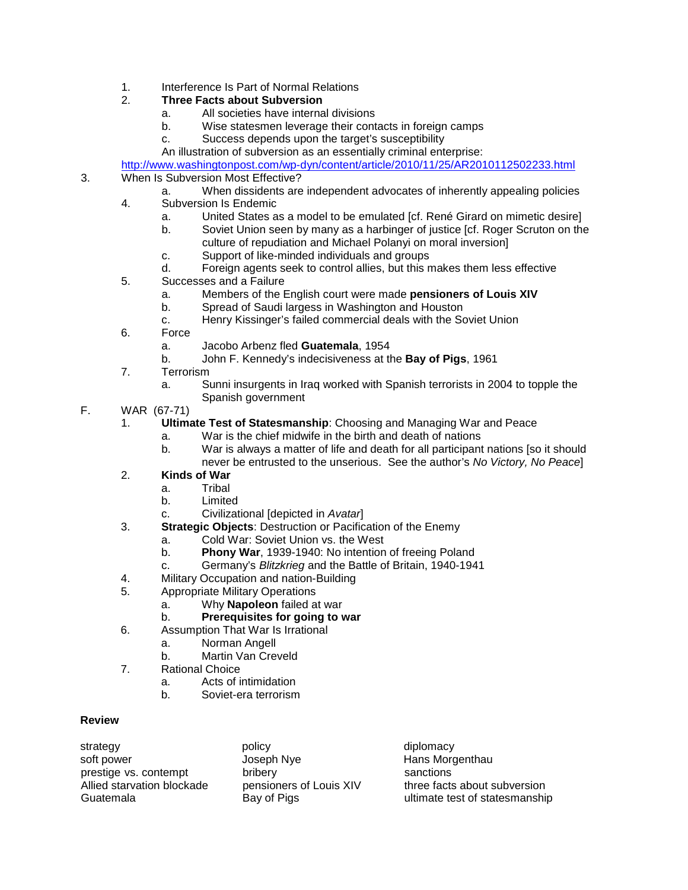- 1. Interference Is Part of Normal Relations<br>2. Three Facts about Subversion
- 2. **Three Facts about Subversion**
	- a. All societies have internal divisions<br>b. Wise statesmen leverage their cont
	- Wise statesmen leverage their contacts in foreign camps
	- c. Success depends upon the target's susceptibility
	- An illustration of subversion as an essentially criminal enterprise:

<http://www.washingtonpost.com/wp-dyn/content/article/2010/11/25/AR2010112502233.html>

#### 3. When Is Subversion Most Effective?

- a. When dissidents are independent advocates of inherently appealing policies
- 4. Subversion Is Endemic
	- a. United States as a model to be emulated [cf. René Girard on mimetic desire]
	- b. Soviet Union seen by many as a harbinger of justice [cf. Roger Scruton on the
		- culture of repudiation and Michael Polanyi on moral inversion]
	- c. Support of like-minded individuals and groups
	- d. Foreign agents seek to control allies, but this makes them less effective
- 5. Successes and a Failure
	- a. Members of the English court were made **pensioners of Louis XIV**
	- b. Spread of Saudi largess in Washington and Houston
	- c. Henry Kissinger's failed commercial deals with the Soviet Union
- 6. Force
	- a. Jacobo Arbenz fled **Guatemala**, 1954
	- b. John F. Kennedy's indecisiveness at the **Bay of Pigs**, 1961
- 7. Terrorism
	- a. Sunni insurgents in Iraq worked with Spanish terrorists in 2004 to topple the Spanish government

#### F. WAR (67-71)

- 1. **Ultimate Test of Statesmanship**: Choosing and Managing War and Peace
	- a. War is the chief midwife in the birth and death of nations
		- b. War is always a matter of life and death for all participant nations [so it should never be entrusted to the unserious. See the author's *No Victory, No Peace*]

### 2. **Kinds of War**

- a. Tribal
- b. Limited
- c. Civilizational [depicted in *Avatar*]
- 3. **Strategic Objects**: Destruction or Pacification of the Enemy
	- a. Cold War: Soviet Union vs. the West
	- b. **Phony War**, 1939-1940: No intention of freeing Poland
	- c. Germany's *Blitzkrieg* and the Battle of Britain, 1940-1941
- 4. Military Occupation and nation-Building
- 5. Appropriate Military Operations
	- a. Why **Napoleon** failed at war
	- b. **Prerequisites for going to war**
- 6. Assumption That War Is Irrational
	- a. Norman Angell
	- b. Martin Van Creveld
- 7. Rational Choice
	- a. Acts of intimidation
	- b. Soviet-era terrorism

#### **Review**

| strategy                   | policy                  | diplomacy                      |
|----------------------------|-------------------------|--------------------------------|
| soft power                 | Joseph Nye              | Hans Morgenthau                |
| prestige vs. contempt      | bribery                 | sanctions                      |
| Allied starvation blockade | pensioners of Louis XIV | three facts about subversion   |
| Guatemala                  | Bay of Pigs             | ultimate test of statesmanship |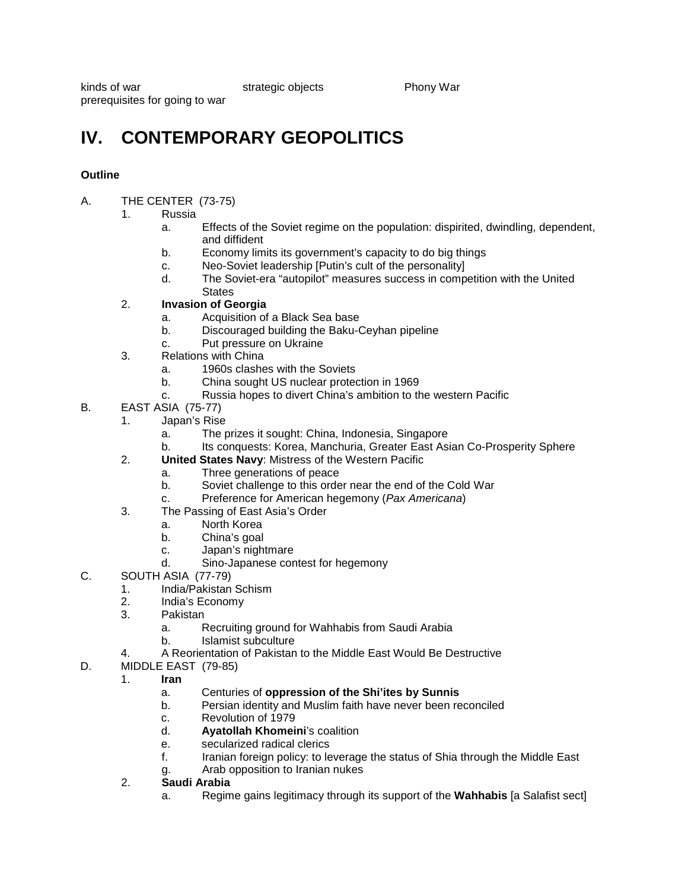kinds of war strategic objects Phony War prerequisites for going to war

## **IV. CONTEMPORARY GEOPOLITICS**

#### **Outline**

- A. THE CENTER (73-75)
	- 1. Russia
		- a. Effects of the Soviet regime on the population: dispirited, dwindling, dependent, and diffident
		- b. Economy limits its government's capacity to do big things
		- c. Neo-Soviet leadership [Putin's cult of the personality]
		- The Soviet-era "autopilot" measures success in competition with the United **States**

### 2. **Invasion of Georgia**

- a. Acquisition of a Black Sea base
- b. Discouraged building the Baku-Ceyhan pipeline
- c. Put pressure on Ukraine
- 3. Relations with China
	- a. 1960s clashes with the Soviets
	- b. China sought US nuclear protection in 1969
	- c. Russia hopes to divert China's ambition to the western Pacific
- B. EAST ASIA (75-77)
	- 1. Japan's Rise
		- a. The prizes it sought: China, Indonesia, Singapore
		- b. Its conquests: Korea, Manchuria, Greater East Asian Co-Prosperity Sphere
	- 2. **United States Navy**: Mistress of the Western Pacific
		- a. Three generations of peace
			- b. Soviet challenge to this order near the end of the Cold War
		- c. Preference for American hegemony (*Pax Americana*)
	- 3. The Passing of East Asia's Order
		- a. North Korea
		- b. China's goal<br>c. Japan's night
		- Japan's nightmare
		- d. Sino-Japanese contest for hegemony
- C. SOUTH ASIA (77-79)
	- 1. India/Pakistan Schism
	- 2. India's Economy
	- 3. Pakistan
		- a. Recruiting ground for Wahhabis from Saudi Arabia
		- b. Islamist subculture
	- 4. A Reorientation of Pakistan to the Middle East Would Be Destructive
- D. MIDDLE EAST (79-85)
	- 1. **Iran**
		- a. Centuries of **oppression of the Shi'ites by Sunnis**
		- b. Persian identity and Muslim faith have never been reconciled
		- c. Revolution of 1979
		- d. **Ayatollah Khomeini**'s coalition
		- e. secularized radical clerics
		- f. Iranian foreign policy: to leverage the status of Shia through the Middle East
		- g. Arab opposition to Iranian nukes
	- 2. **Saudi Arabia**
		- a. Regime gains legitimacy through its support of the **Wahhabis** [a Salafist sect]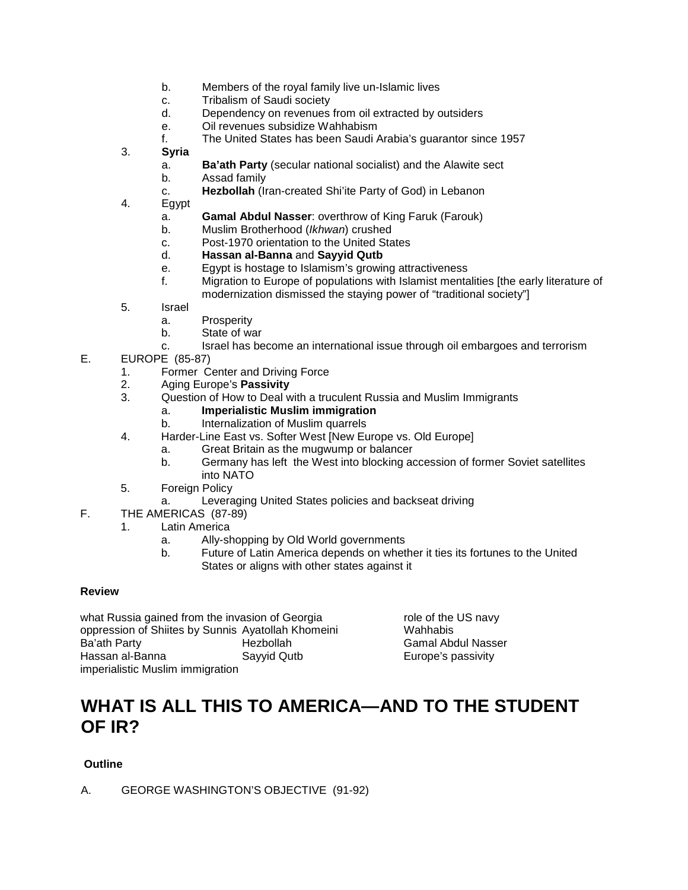- b. Members of the royal family live un-Islamic lives
- c. Tribalism of Saudi society
- d. Dependency on revenues from oil extracted by outsiders
- e. Oil revenues subsidize Wahhabism
- f. The United States has been Saudi Arabia's guarantor since 1957
- 3. **Syria**
	- a. **Ba'ath Party** (secular national socialist) and the Alawite sect
	- b. Assad family
	- c. **Hezbollah** (Iran-created Shi'ite Party of God) in Lebanon
- 4. Egypt
	- a. **Gamal Abdul Nasser**: overthrow of King Faruk (Farouk)
	- b. Muslim Brotherhood (*Ikhwan*) crushed
	- c. Post-1970 orientation to the United States
	- d. **Hassan al-Banna** and **Sayyid Qutb**
	- e. Egypt is hostage to Islamism's growing attractiveness
	- f. Migration to Europe of populations with Islamist mentalities [the early literature of modernization dismissed the staying power of "traditional society"]
- 5. Israel
	- a. Prosperity
	- b. State of war
	- c. Israel has become an international issue through oil embargoes and terrorism
- E. EUROPE (85-87)
	- 1. Former Center and Driving Force
	- 2. Aging Europe's **Passivity**
	- Question of How to Deal with a truculent Russia and Muslim Immigrants
		- a. **Imperialistic Muslim immigration**
		- b. Internalization of Muslim quarrels
	- 4. Harder-Line East vs. Softer West [New Europe vs. Old Europe]
		- a. Great Britain as the mugwump or balancer
		- b. Germany has left the West into blocking accession of former Soviet satellites into NATO
	- 5. Foreign Policy
		- a. Leveraging United States policies and backseat driving
- F. THE AMERICAS (87-89)
	- 1. Latin America
		- a. Ally-shopping by Old World governments
		- b. Future of Latin America depends on whether it ties its fortunes to the United States or aligns with other states against it

#### **Review**

what Russia gained from the invasion of Georgia role of the US navy oppression of Shiites by Sunnis Ayatollah Khomeini Wahhabis<br>Ba'ath Party **Machabis** Hezbollah Musan Bamal Abo Hassan al-Banna Sayyid Qutb Europe's passivity imperialistic Muslim immigration

Ba'ath Party Hezbollah Gamal Abdul Nasser

### **WHAT IS ALL THIS TO AMERICA—AND TO THE STUDENT OF IR?**

#### **Outline**

A. GEORGE WASHINGTON'S OBJECTIVE (91-92)